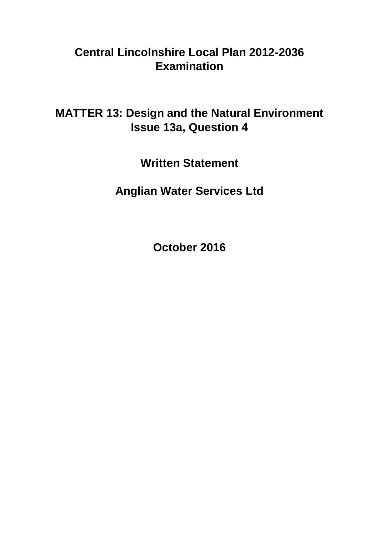## **Central Lincolnshire Local Plan 2012-2036 Examination**

**MATTER 13: Design and the Natural Environment Issue 13a, Question 4**

**Written Statement**

**Anglian Water Services Ltd**

**October 2016**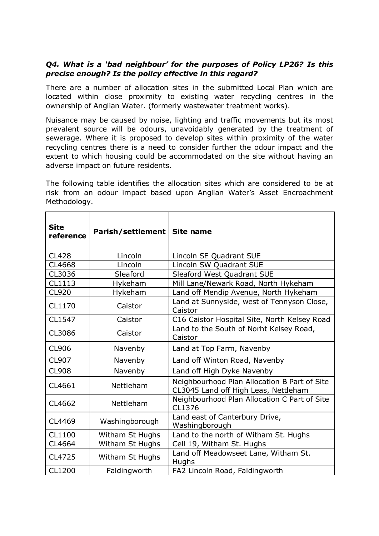## *Q4. What is a 'bad neighbour' for the purposes of Policy LP26? Is this precise enough? Is the policy effective in this regard?*

There are a number of allocation sites in the submitted Local Plan which are located within close proximity to existing water recycling centres in the ownership of Anglian Water. (formerly wastewater treatment works).

Nuisance may be caused by noise, lighting and traffic movements but its most prevalent source will be odours, unavoidably generated by the treatment of sewerage. Where it is proposed to develop sites within proximity of the water recycling centres there is a need to consider further the odour impact and the extent to which housing could be accommodated on the site without having an adverse impact on future residents.

The following table identifies the allocation sites which are considered to be at risk from an odour impact based upon Anglian Water's Asset Encroachment Methodology.

| <b>Site</b><br>reference | Parish/settlement   Site name |                                                                                      |
|--------------------------|-------------------------------|--------------------------------------------------------------------------------------|
| <b>CL428</b>             | Lincoln                       | Lincoln SE Quadrant SUE                                                              |
| <b>CL4668</b>            | Lincoln                       | Lincoln SW Quadrant SUE                                                              |
| CL3036                   | Sleaford                      | Sleaford West Quadrant SUE                                                           |
| CL1113                   | Hykeham                       | Mill Lane/Newark Road, North Hykeham                                                 |
| <b>CL920</b>             | Hykeham                       | Land off Mendip Avenue, North Hykeham                                                |
| CL1170                   | Caistor                       | Land at Sunnyside, west of Tennyson Close,<br>Caistor                                |
| CL1547                   | Caistor                       | C16 Caistor Hospital Site, North Kelsey Road                                         |
| CL3086                   | Caistor                       | Land to the South of Norht Kelsey Road,<br>Caistor                                   |
| <b>CL906</b>             | Navenby                       | Land at Top Farm, Navenby                                                            |
| <b>CL907</b>             | Navenby                       | Land off Winton Road, Navenby                                                        |
| <b>CL908</b>             | Navenby                       | Land off High Dyke Navenby                                                           |
| CL4661                   | Nettleham                     | Neighbourhood Plan Allocation B Part of Site<br>CL3045 Land off High Leas, Nettleham |
| CL4662                   | Nettleham                     | Neighbourhood Plan Allocation C Part of Site<br>CL1376                               |
| CL4469                   | Washingborough                | Land east of Canterbury Drive,<br>Washingborough                                     |
| CL1100                   | Witham St Hughs               | Land to the north of Witham St. Hughs                                                |
| CL4664                   | Witham St Hughs               | Cell 19, Witham St. Hughs                                                            |
| CL4725                   | Witham St Hughs               | Land off Meadowseet Lane, Witham St.<br>Hughs                                        |
| CL1200                   | Faldingworth                  | FA2 Lincoln Road, Faldingworth                                                       |